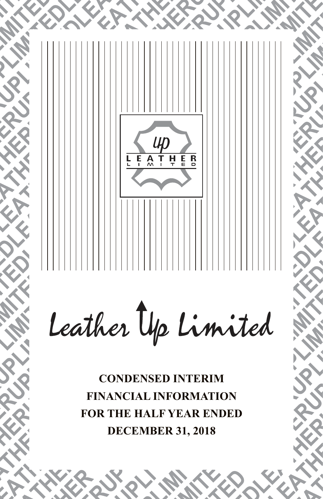

**CONDENSED INTERIM FINANCIAL INFORMATION FOR THE HALF YEAR ENDED DECEMBER 31, 2018**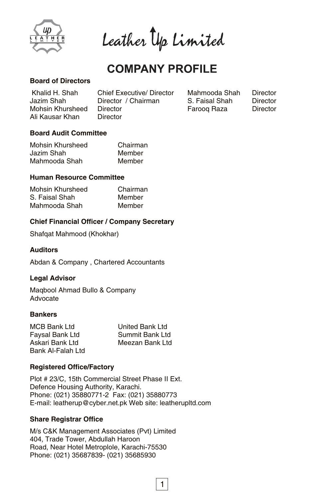

Leather Up Limited

# **COMPANY PROFILE**

## **Board of Directors**

| Khalid H. Shah   | <b>Chief Executive/ Director</b> |
|------------------|----------------------------------|
| Jazim Shah       | Director / Chairman              |
| Mohsin Khursheed | Director                         |
| Ali Kausar Khan  | Director                         |

Farooq Raza Director Mahmooda Shah Director<br>S. Faisal Shah Director S. Faisal Shah

## **Board Audit Committee**

| Mohsin Khursheed | Chairman |
|------------------|----------|
| Jazim Shah       | Member   |
| Mahmooda Shah    | Member   |

## **Human Resource Committee**

| Mohsin Khursheed | Chairman |
|------------------|----------|
| S. Faisal Shah   | Member   |
| Mahmooda Shah    | Member   |

## **Chief Financial Officer / Company Secretary**

Shafqat Mahmood (Khokhar)

## **Auditors**

Abdan & Company , Chartered Accountants

## **Legal Advisor**

Maqbool Ahmad Bullo & Company Advocate

## **Bankers**

| <b>MCB Bank Ltd</b> | United Bank Ltd |
|---------------------|-----------------|
| Faysal Bank Ltd     | Summit Bank Ltd |
| Askari Bank Ltd     | Meezan Bank Ltd |
| Bank Al-Falah Ltd   |                 |

## **Registered Office/Factory**

Defence Housing Authority, Karachi. Phone: (021) 35880771-2 Fax: (021) 35880773 E-mail: leatherup@cyber.net.pk Web site: leatherupltd.com Plot # 23/C, 15th Commercial Street Phase II Ext.

## **Share Registrar Office**

M/s C&K Management Associates (Pvt) Limited 404, Trade Tower, Abdullah Haroon Road, Near Hotel Metroplole, Karachi-75530 Phone: (021) 35687839- (021) 35685930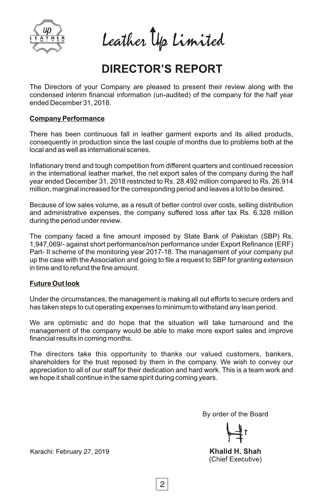

Leather Up Limited

# **DIRECTOR'S REPORT**

The Directors of your Company are pleased to present their review along with the condensed interim financial information (un-audited) of the company for the half year ended December 31, 2018.

## **Company Performance**

There has been continuous fall in leather garment exports and its allied products, consequently in production since the last couple of months due to problems both at the local and as well as international scenes.

Inflationary trend and tough competition from different quarters and continued recession in the international leather market, the net export sales of the company during the half year ended December 31, 2018 restricted to Rs. 28.492 million compared to Rs. 26.914 million, marginal increased for the corresponding period and leaves a lot to be desired.

Because of low sales volume, as a result of better control over costs, selling distribution and administrative expenses, the company suffered loss after tax Rs. 6.328 million during the period under review.

The company faced a fine amount imposed by State Bank of Pakistan (SBP) Rs. 1,947,069/- against short performance/non performance under Export Refinance (ERF) Part- II scheme of the monitoring year 2017-18. The management of your company put up the case with the Association and going to file a request to SBP for granting extension in time and to refund the fine amount.

## **Future Out look**

Under the circumstances, the management is making all out efforts to secure orders and has taken steps to cut operating expenses to minimum to withstand any lean period.

We are optimistic and do hope that the situation will take turnaround and the management of the company would be able to make more export sales and improve financial results in coming months.

The directors take this opportunity to thanks our valued customers, bankers, shareholders for the trust reposed by them in the company. We wish to convey our appreciation to all of our staff for their dedication and hard work. This is a team work and we hope it shall continue in the same spirit during coming years.

By order of the Board

Khalid H. Shah (Chief Executive)

Karachi: February 27, 2019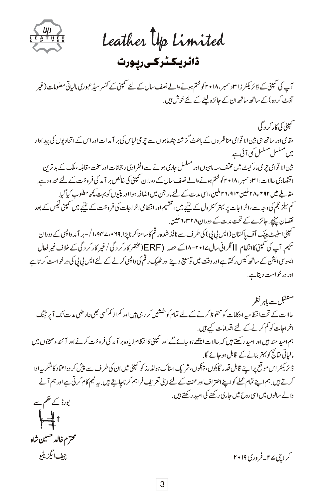

Leather **typ** Limited ۔<br>ڈائریکٹر *کی* رپورٹ

آپ کی تمپنی کے ڈائر یکٹر ز اسل سمبر ،١٨ • ۲ کو ختم ہونے والے نصف سال کے لئے تمپنی کے کنسر سیڈ عبوری مالیاتی معلومات (غیر آڈٹ کر دہ) کے ساتھ ساتھ ان کے جائزہ لینے کے لئے خوش ہیں .

بین الا قوامی جرمی مار کیٹ میں مختلف سہ ماہیوں اور مسلسل جاری ہونے سے انفرادی ر جحانات اور سخت مقابلہءملک کے بد ترین ا قتصادی حالات، ۳۱ د سمبر ،۲۰۱۸ کوختم ہونے والے نصف سال کے دوران سمپنی کی خالص بر آمد کی فروخت کے لئے محد ود ہے. مقابلے میں ٢٨٫٢٩٢ ملین ٢٩،٩١٣ ملین،اسی مدت کے لئے مار جن میں اضافہ ہو ااور پتیوں کو بہت کچھ مطلوب کیا گیا. حمینی اسٹیٹ بینک آف پاکستان(ایس بی پی) کی طرف سے نافذ شدہ رقم کاسامناکر ناپڑا. ۱،۹۴۷،۰۲۹ / –بر آ مد واپسی کے دوران سَیم. آپ کی کمپنیکاانظام II نگرانی سال۱۰۲۰-۱۸ کے حصہ (ERF)(مختصر کار کر د گی / غیر کار کر د گی کے خلاف غیر فعال ایسوسی ایشن کے ساتھ کیس رکھتاہے اور وقت میں توسیع دینے اور ٹھیک رقم کی واپسی کرنے کے لئے ایس پی پی کی در خواست کرتاہے اور در خواست دیتاہے . کم سیز حجم کی وجہ سے،اخر احات پر بہتر کنٹر ول کے نتیجے میں، تقسیم اور انتظامی اخر احات کی فروخت کے نتیجے میں کمپنی ٹیکس کے بعد نقصان پہنچے. جائزے کے تحت مدت کے دوران٢٨ متام ملین. مقامی اور ساتھ ہی بین الا قوامی مناظر وں کے باعث گزشتہ چند ماہوں سے چرمی لباس کی بر آ مدات اور اس کے اتحادیوں کی پیداوار میں مسلسل مسلسل کمی آئی ہے . سمپنې کې کار کر د گې

مستقبل سے ماہر نظر حالات کے تحت انتظامیہ احکامات کو محفوظ کرنے کے لئے تمام کوششیں کر رہی ہیں اور کم از کم کسی بھی عار ضی مدت تک آ پر ٹینگ اخراجات کو کم کرنے کے لئے اقدامات کے ہیں . ہم امید مند ہیں اور امید رکھتے ہیں کہ حالات اچھے ہو جائے گے اور کمپنی کاانتظام زیادہ بر آ مد کی فروخت کرنے اور آ ئندہ مہینوں میں مالیاتی نتائج کو بہتر بنانے کے قابل ہو جائے گا. ڈائریکٹر اس موقع پر اپنے قابل قدر گاہوں، بینکوں، شریک اسٹاک ہولڈرز کو سمپنی میں ان کی طرف سے پیش کر دہ اعتماد کاشکریہ ادا کرتے ہیں. ہم اپنے تمام عملے کواپنے اعتراف اور محنت کے لئے اپنی تعریف فراہم کر ناچاہتے ہیں. بہ ٹیم کام کرتی ہے اور ہم آنے والے سالوں میں اسی روح میں جاری رکھنے کی امید رکھتے ہیں. بورڈ کے حکم سے ┡ᡱ╵

محترم خالد حسین شاہ

کر اچی ۲ سالہ قروری ۲۰۱۹ میں مسلسلہ اس کا جاتا ہے اور اس کے اس کے بیٹ انگزیٹیو کے اس کا انتخاب کے انتخاب کے ان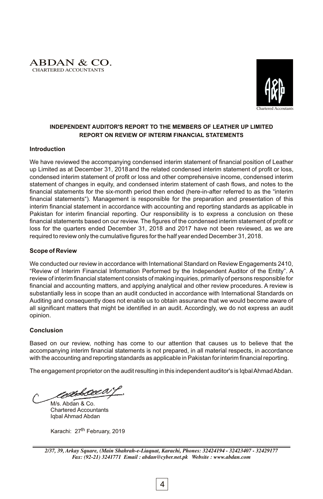



## **INDEPENDENT AUDITOR'S REPORT TO THE MEMBERS OF LEATHER UP LIMITED REPORT ON REVIEW OF INTERIM FINANCIAL STATEMENTS**

### **Introduction**

We have reviewed the accompanying condensed interim statement of financial position of Leather up Limited as at December 31, 2018and the related condensed interim statement of profit or loss, condensed interim statement of profit or loss and other comprehensive income, condensed interim statement of changes in equity, and condensed interim statement of cash flows, and notes to the financial statements for the six-month period then ended (here-in-after referred to as the "interim financial statements"). Management is responsible for the preparation and presentation of this interim financial statement in accordance with accounting and reporting standards as applicable in Pakistan for interim financial reporting. Our responsibility is to express a conclusion on these financial statements based on our review. The figures of the condensed interim statement of profit or loss for the quarters ended December 31, 2018 and 2017 have not been reviewed, as we are required to review only the cumulative figures for the half year ended December 31, 2018.

## **Scope of Review**

We conducted our review in accordance with International Standard on Review Engagements 2410, "Review of Interim Financial Information Performed by the Independent Auditor of the Entity". A review of interim financial statement consists of making inquiries, primarily of persons responsible for financial and accounting matters, and applying analytical and other review procedures. A review is substantially less in scope than an audit conducted in accordance with International Standards on Auditing and consequently does not enable us to obtain assurance that we would become aware of all significant matters that might be identified in an audit. Accordingly, we do not express an audit opinion.

## **Conclusion**

Based on our review, nothing has come to our attention that causes us to believe that the accompanying interim financial statements is not prepared, in all material respects, in accordance with the accounting and reporting standards as applicable in Pakistan for interim financial reporting.

The engagement proprietor on the audit resulting in this independent auditor's is Iqbal Ahmad Abdan.

edbeeca

M/s. Abdan & Co. Chartered Accountants Iqbal Ahmad Abdan

Karachi: 27<sup>th</sup> February, 2019

*<sup>2/37, 39,</sup> Arkay Square, (Main Shahrah-e-Liaquat, Karachi, Phones: 32424194 - 32423407 - 32429177 Fax: (92-21) 3241771 Email : abdan@cyber.net.pk Website : www.abdan.com*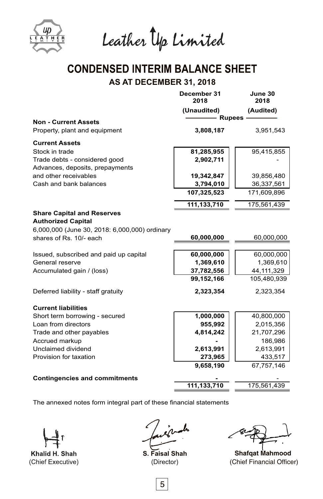

Leather Up Limited

# **CONDENSED INTERIM BALANCE SHEET AS AT DECEMBER 31, 2018**

|                                               | December 31<br>2018 | June 30<br>2018 |
|-----------------------------------------------|---------------------|-----------------|
|                                               | (Unaudited)         | (Audited)       |
| <b>Non - Current Assets</b>                   |                     | <b>Rupees</b>   |
| Property, plant and equipment                 | 3,808,187           | 3,951,543       |
| <b>Current Assets</b>                         |                     |                 |
| Stock in trade                                | 81,285,955          | 95,415,855      |
| Trade debts - considered good                 | 2,902,711           |                 |
| Advances, deposits, prepayments               |                     |                 |
| and other receivables                         | 19,342,847          | 39,856,480      |
| Cash and bank balances                        | 3,794,010           | 36,337,561      |
|                                               | 107,325,523         | 171,609,896     |
|                                               | 111,133,710         | 175,561,439     |
| <b>Share Capital and Reserves</b>             |                     |                 |
| <b>Authorized Capital</b>                     |                     |                 |
| 6,000,000 (June 30, 2018: 6,000,000) ordinary |                     |                 |
| shares of Rs. 10/- each                       | 60,000,000          | 60,000,000      |
| Issued, subscribed and paid up capital        | 60,000,000          | 60,000,000      |
| General reserve                               | 1,369,610           | 1,369,610       |
| Accumulated gain / (loss)                     | 37,782,556          | 44,111,329      |
|                                               | 99,152,166          | 105,480,939     |
| Deferred liability - staff gratuity           | 2,323,354           | 2,323,354       |
| <b>Current liabilities</b>                    |                     |                 |
| Short term borrowing - secured                | 1,000,000           | 40,800,000      |
| Loan from directors                           | 955,992             | 2,015,356       |
| Trade and other payables                      | 4,814,242           | 21,707,296      |
| Accrued markup                                |                     | 186,986         |
| Unclaimed dividend                            | 2,613,991           | 2,613,991       |
| Provision for taxation                        | 273,965             | 433,517         |
|                                               | 9,658,190           | 67,757,146      |
| <b>Contingencies and commitments</b>          |                     |                 |
|                                               | 111,133,710         | 175,561,439     |
|                                               |                     |                 |

 The annexed notes form integral part of these financial statements

Khalid H. Shah (Chief Executive)

**S. Faisal Shah**  (Director)

 $5<sub>5</sub>$ 

(Chief Financial Officer) **Shafqat Mahmood**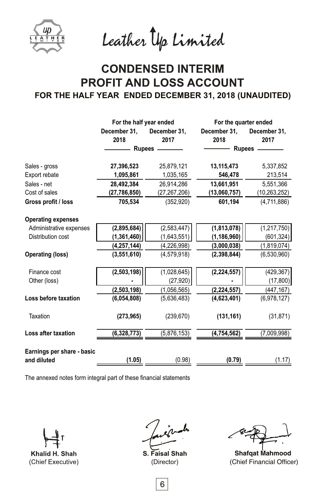

Leather Up Limited

# **CONDENSED INTERIM PROFIT AND LOSS ACCOUNT FOR THE HALF YEAR ENDED DECEMBER 31, 2018 (UNAUDITED)**

|                            |                | For the half year ended |               | For the quarter ended |
|----------------------------|----------------|-------------------------|---------------|-----------------------|
|                            | December 31,   | December 31,            | December 31,  | December 31,          |
|                            | 2018           | 2017                    | 2018          | 2017                  |
|                            |                | Rupees -                |               | Rupees —              |
| Sales - gross              | 27,396,523     | 25,879,121              | 13,115,473    | 5,337,852             |
| Export rebate              | 1,095,861      | 1,035,165               | 546,478       | 213,514               |
| Sales - net                | 28,492,384     | 26,914,286              | 13,661,951    | 5,551,366             |
| Cost of sales              | (27, 786, 850) | (27,267,206)            | (13,060,757)  | (10, 263, 252)        |
| Gross profit / loss        | 705,534        | (352, 920)              | 601,194       | (4,711,886)           |
| <b>Operating expenses</b>  |                |                         |               |                       |
| Administrative expenses    | (2,895,684)    | (2, 583, 447)           | (1,813,078)   | (1, 217, 750)         |
| Distribution cost          | (1,361,460)    | (1,643,551)             | (1, 186, 960) | (601, 324)            |
|                            | (4, 257, 144)  | (4, 226, 998)           | (3,000,038)   | (1,819,074)           |
| <b>Operating (loss)</b>    | (3,551,610)    | (4,579,918)             | (2,398,844)   | (6,530,960)           |
| Finance cost               | (2,503,198)    | (1,028,645)             | (2, 224, 557) | (429, 367)            |
| Other (loss)               |                | (27, 920)               |               | (17, 800)             |
|                            | (2, 503, 198)  | (1,056,565)             | (2, 224, 557) | (447, 167)            |
| Loss before taxation       | (6,054,808)    | (5,636,483)             | (4,623,401)   | (6,978,127)           |
| Taxation                   | (273, 965)     | (239, 670)              | (131, 161)    | (31, 871)             |
| Loss after taxation        | (6,328,773)    | (5,876,153)             | (4, 754, 562) | (7,009,998)           |
| Earnings per share - basic |                |                         |               |                       |
| and diluted                | (1.05)         | (0.98)                  | (0.79)        | (1.17)                |
|                            |                |                         |               |                       |

The annexed notes form integral part of these financial statements

Khalid H. Shah (Chief Executive)

**S. Faisal Shah** (Director)

(Chief Financial Officer) **Shafqat Mahmood**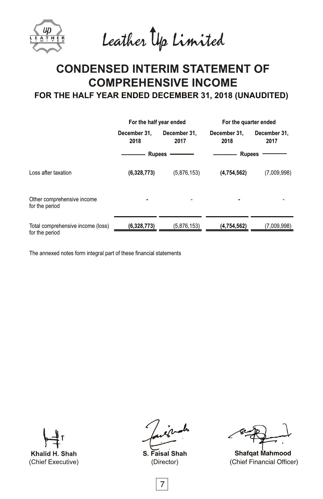Leather Up Limited

# **CONDENSED INTERIM STATEMENT OF COMPREHENSIVE INCOME**

**FOR THE HALF YEAR ENDED DECEMBER 31, 2018 (UNAUDITED)**

|                                                     | For the half year ended |                      | For the quarter ended |                      |
|-----------------------------------------------------|-------------------------|----------------------|-----------------------|----------------------|
|                                                     | December 31.<br>2018    | December 31.<br>2017 | December 31.<br>2018  | December 31,<br>2017 |
|                                                     | <b>Rupees</b>           |                      | <b>Rupees</b>         |                      |
| Loss after taxation                                 | (6,328,773)             | (5,876,153)          | (4,754,562)           | (7,009,998)          |
| Other comprehensive income<br>for the period        | ٠                       |                      | ٠                     |                      |
| Total comprehensive income (loss)<br>for the period | (6,328,773)             | (5,876,153)          | (4,754,562)           | (7,009,998)          |

The annexed notes form integral part of these financial statements

Khalid H. Shah (Chief Executive)

**S. Faisal Shah** (Director)

(Chief Financial Officer) **Shafqat Mahmood**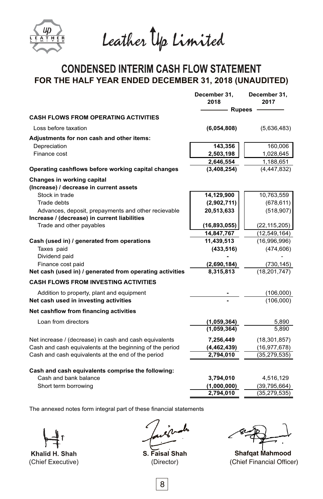

Leather Up Limited

# **CONDENSED INTERIM CASH FLOW STATEMENT FOR THE HALF YEAR ENDED DECEMBER 31, 2018 (UNAUDITED)**

|                                                                                                     | December 31,<br>2018     | December 31,<br>2017       |
|-----------------------------------------------------------------------------------------------------|--------------------------|----------------------------|
|                                                                                                     | <b>Rupees</b>            |                            |
| <b>CASH FLOWS FROM OPERATING ACTIVITIES</b>                                                         |                          |                            |
| Loss before taxation                                                                                | (6,054,808)              | (5,636,483)                |
| Adjustments for non cash and other items:                                                           |                          |                            |
| Depreciation                                                                                        | 143,356                  | 160,006                    |
| Finance cost                                                                                        | 2,503,198                | 1,028,645                  |
| Operating cashflows before working capital changes                                                  | 2,646,554<br>(3,408,254) | 1,188,651<br>(4, 447, 832) |
| <b>Changes in working capital</b>                                                                   |                          |                            |
| (Increase) / decrease in current assets                                                             |                          |                            |
| Stock in trade                                                                                      | 14,129,900               | 10,763,559                 |
| Trade debts                                                                                         | (2,902,711)              | (678, 611)                 |
| Advances, deposit, prepayments and other recievable<br>Increase / (decrease) in current liabilities | 20,513,633               | (518, 907)                 |
| Trade and other payables                                                                            | (16,893,055)             | (22, 115, 205)             |
|                                                                                                     | 14,847,767               | (12, 549, 164)             |
| Cash (used in) / generated from operations                                                          | 11,439,513               | (16,996,996)               |
| Taxes paid                                                                                          | (433, 516)               | (474, 606)                 |
| Dividend paid                                                                                       |                          |                            |
| Finance cost paid                                                                                   | (2,690,184)              | (730, 145)                 |
| Net cash (used in) / generated from operating activities                                            | 8,315,813                | (18, 201, 747)             |
| <b>CASH FLOWS FROM INVESTING ACTIVITIES</b>                                                         |                          |                            |
| Addition to property, plant and equipment                                                           |                          | (106,000)                  |
| Net cash used in investing activities                                                               |                          | (106,000)                  |
| Net cashflow from financing activities                                                              |                          |                            |
| Loan from directors                                                                                 | (1,059,364)              | 5,890                      |
|                                                                                                     | (1,059,364)              | 5,890                      |
| Net increase / (decrease) in cash and cash equivalents                                              | 7,256,449                | (18, 301, 857)             |
| Cash and cash equivalents at the beginning of the period                                            | (4,462,439)              | (16, 977, 678)             |
| Cash and cash equivalents at the end of the period                                                  | 2,794,010                | (35, 279, 535)             |
| Cash and cash equivalents comprise the following:                                                   |                          |                            |
| Cash and bank balance                                                                               | 3,794,010                | 4,516,129                  |
| Short term borrowing                                                                                | (1,000,000)              | (39, 795, 664)             |
|                                                                                                     | 2,794,010                | (35, 279, 535)             |

The annexed notes form integral part of these financial statements

Khalid H. Shah (Chief Executive)

**S. Faisal Shah** (Director)

(Chief Financial Officer) **Shafqat Mahmood**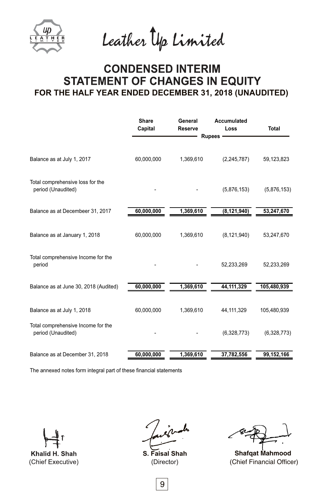Leather Up Limited

# **CONDENSED INTERIM STATEMENT OF CHANGES IN EQUITY FOR THE HALF YEAR ENDED DECEMBER 31, 2018 (UNAUDITED)**

|                                                          | <b>Share</b><br>Capital | General<br><b>Reserve</b> | Accumulated<br>Loss | Total       |
|----------------------------------------------------------|-------------------------|---------------------------|---------------------|-------------|
|                                                          |                         |                           | Rupees -            |             |
| Balance as at July 1, 2017                               | 60,000,000              | 1,369,610                 | (2, 245, 787)       | 59,123,823  |
| Total comprehensive loss for the<br>period (Unaudited)   |                         |                           | (5,876,153)         | (5,876,153) |
| Balance as at Decembeer 31, 2017                         | 60,000,000              | 1,369,610                 | (8, 121, 940)       | 53,247,670  |
| Balance as at January 1, 2018                            | 60,000,000              | 1,369,610                 | (8, 121, 940)       | 53,247,670  |
| Total comprehensive Income for the<br>period             |                         |                           | 52,233,269          | 52,233,269  |
| Balance as at June 30, 2018 (Audited)                    | 60,000,000              | 1,369,610                 | 44,111,329          | 105,480,939 |
| Balance as at July 1, 2018                               | 60,000,000              | 1,369,610                 | 44, 111, 329        | 105,480,939 |
| Total comprehensive Income for the<br>period (Unaudited) |                         |                           | (6,328,773)         | (6,328,773) |
| Balance as at December 31, 2018                          | 60,000,000              | 1,369,610                 | 37,782,556          | 99,152,166  |

The annexed notes form integral part of these financial statements

Khalid H. Shah (Chief Executive)

**S. Faisal Shah** (Director)

(Chief Financial Officer) **Shafqat Mahmood**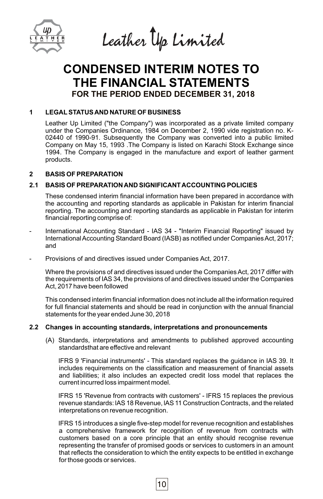

Leather Up Limited

# **FOR THE PERIOD ENDED DECEMBER 31, 2018 CONDENSED INTERIM NOTES TO THE FINANCIAL STATEMENTS**

## **1 LEGALSTATUS AND NATURE OF BUSINESS**

Leather Up Limited ("the Company") was incorporated as a private limited company under the Companies Ordinance, 1984 on December 2, 1990 vide registration no. K-02440 of 1990-91. Subsequently the Company was converted into a public limited Company on May 15, 1993 .The Company is listed on Karachi Stock Exchange since 1994. The Company is engaged in the manufacture and export of leather garment products.

## **2 BASIS OF PREPARATION**

## **2.1 BASIS OF PREPARATION AND SIGNIFICANT ACCOUNTING POLICIES**

These condensed interim financial information have been prepared in accordance with the accounting and reporting standards as applicable in Pakistan for interim financial reporting. The accounting and reporting standards as applicable in Pakistan for interim financial reporting comprise of:

- International Accounting Standard IAS 34 "Interim Financial Reporting" issued by International Accounting Standard Board (IASB) as notified under Companies Act, 2017; and
- Provisions of and directives issued under Companies Act, 2017.

Where the provisions of and directives issued under the Companies Act, 2017 differ with the requirements of IAS 34, the provisions of and directives issued under the Companies Act, 2017 have been followed

This condensed interim financial information does not include all the information required for full financial statements and should be read in conjunction with the annual financial statements for the year ended June 30, 2018

## **2.2 Changes in accounting standards, interpretations and pronouncements**

(A) Standards, interpretations and amendments to published approved accounting standardsthat are effective and relevant

IFRS 9 'Financial instruments' - This standard replaces the guidance in IAS 39. It includes requirements on the classification and measurement of financial assets and liabilities; it also includes an expected credit loss model that replaces the current incurred loss impairment model.

IFRS 15 'Revenue from contracts with customers' - IFRS 15 replaces the previous revenue standards: lAS 18 Revenue, lAS 11 Construction Contracts, and the related interpretations on revenue recognition.

IFRS 15 introduces a single five-step model for revenue recognition and establishes a comprehensive framework for recognition of revenue from contracts with customers based on a core principle that an entity should recognise revenue representing the transfer of promised goods or services to customers in an amount that reflects the consideration to which the entity expects to be entitled in exchange for those goods or services.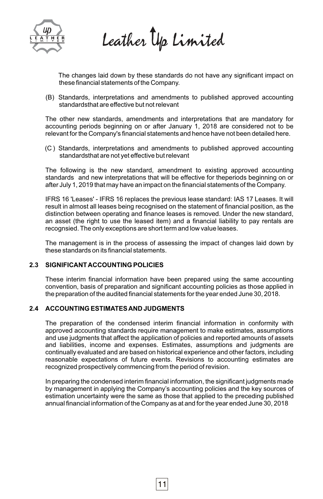

Leather Up Limited

The changes laid down by these standards do not have any significant impact on these financial statements of the Company.

(B) Standards, interpretations and amendments to published approved accounting standardsthat are effective but not relevant

The other new standards, amendments and interpretations that are mandatory for accounting periods beginning on or after January 1, 2018 are considered not to be relevant for the Company's financial statements and hence have not been detailed here.

(C ) Standards, interpretations and amendments to published approved accounting standardsthat are not yet effective but relevant

The following is the new standard, amendment to existing approved accounting standards and new interpretations that will be effective for theperiods beginning on or after July 1, 2019 that may have an impact on the financial statements of the Company.

IFRS 16 'Leases' - IFRS 16 replaces the previous lease standard: IAS 17 Leases. It will result in almost all leases being recognised on the statement of financial position, as the distinction between operating and finance leases is removed. Under the new standard, an asset (the right to use the leased item) and a financial liability to pay rentals are recognsied. The only exceptions are short term and low value leases.

The management is in the process of assessing the impact of changes laid down by these standards on its financial statements.

## **2.3 SIGNIFICANT ACCOUNTING POLICIES**

These interim financial information have been prepared using the same accounting convention, basis of preparation and significant accounting policies as those applied in the preparation of the audited financial statements for the year ended June 30, 2018.

## **2.4 ACCOUNTING ESTIMATES AND JUDGMENTS**

The preparation of the condensed interim financial information in conformity with approved accounting standards require management to make estimates, assumptions and use judgments that affect the application of policies and reported amounts of assets and liabilities, income and expenses. Estimates, assumptions and judgments are continually evaluated and are based on historical experience and other factors, including reasonable expectations of future events. Revisions to accounting estimates are recognized prospectively commencing from the period of revision.

In preparing the condensed interim financial information, the significant judgments made by management in applying the Company's accounting policies and the key sources of estimation uncertainty were the same as those that applied to the preceding published annual financial information of the Company as at and for the year ended June 30, 2018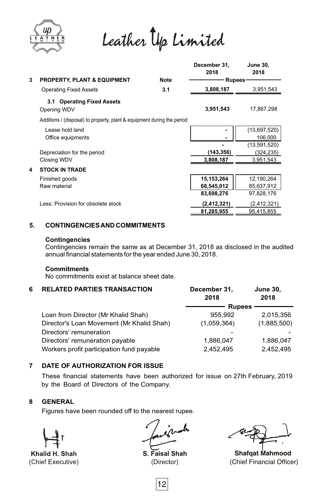

Leather Up Limited

|   |                                                                         |             | December 31,<br>2018 | <b>June 30,</b><br>2018 |
|---|-------------------------------------------------------------------------|-------------|----------------------|-------------------------|
| 3 | <b>PROPERTY, PLANT &amp; EQUIPMENT</b>                                  | <b>Note</b> | Rupees-              |                         |
|   | <b>Operating Fixed Assets</b>                                           | 3.1         | 3,808,187            | 3,951,543               |
|   | 3.1 Operating Fixed Assets<br>Opening WDV                               |             | 3,951,543            | 17,867,298              |
|   | Additions / (disposal) to property, plant & equipment during the period |             |                      |                         |
|   | Lease hold land                                                         |             |                      | (13,697,520)            |
|   | Office equipments                                                       |             |                      | 106,000                 |
|   |                                                                         |             |                      | (13,591,520)            |
|   | Depreciation for the period                                             |             | (143, 356)           | (324,235)               |
|   | Closing WDV                                                             |             | 3,808,187            | 3,951,543               |
| 4 | <b>STOCK IN TRADE</b>                                                   |             |                      |                         |
|   | Finished goods                                                          |             | 15,153,264           | 12,190,264              |
|   | Raw material                                                            |             | 68,545,012           | 85,637,912              |
|   |                                                                         |             | 83,698,276           | 97,828,176              |
|   | Less: Provision for obsolete stock                                      |             | (2,412,321)          | (2, 412, 321)           |
|   |                                                                         |             | 81,285,955           | 95,415,855              |

## **5. CONTINGENCIES AND COMMITMENTS**

## **Contingencies**

Contingencies remain the same as at December 31, 2018 as disclosed in the audited annual financial statements for the year ended June 30, 2018.

## **Commitments**

No commitments exist at balance sheet date.

## **6 RELATED PARTIES TRANSACTION December 31, June 30,**

|                                           | 2018          | 2018        |
|-------------------------------------------|---------------|-------------|
|                                           | <b>Rupees</b> |             |
| Loan from Director (Mr Khalid Shah)       | 955.992       | 2,015,356   |
| Director's Loan Movement (Mr Khalid Shah) | (1,059,364)   | (1,885,500) |
| Directors' remuneration                   |               |             |
| Directors' remuneration payable           | 1,886,047     | 1.886.047   |
| Workers profit participation fund payable | 2.452.495     | 2.452.495   |
|                                           |               |             |

## **7 DATE OF AUTHORIZATION FOR ISSUE**

by the Board of Directors of the Company. These financial statements have been authorized for issue on 27th February, 2019

## **8 GENERAL**

Figures have been rounded off to the nearest rupee.

Khalid H. Shah (Chief Executive)

**S. Faisal Shah** (Director)

(Chief Financial Officer) **Shafqat Mahmood**